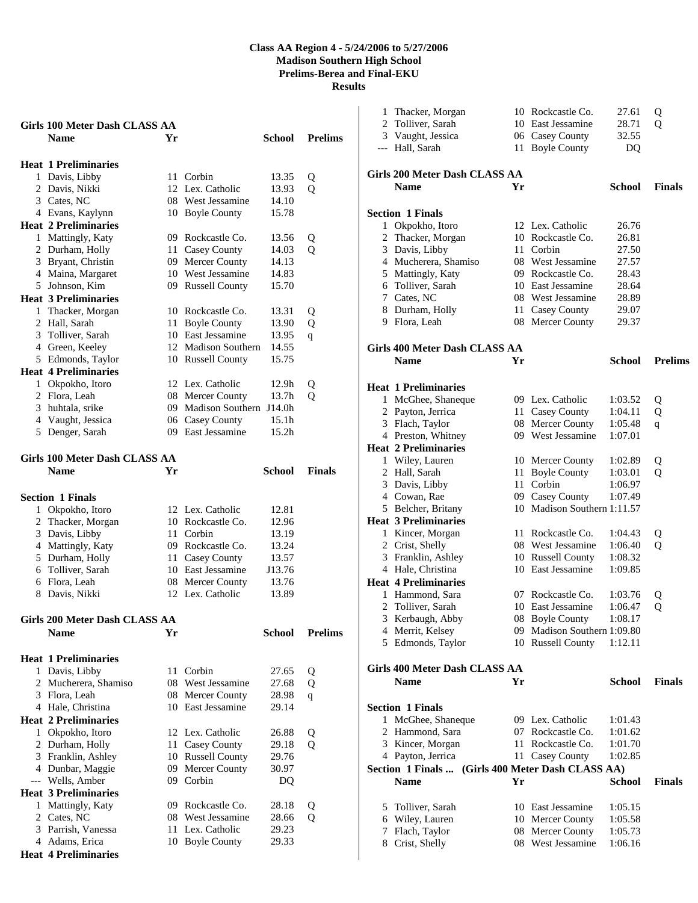|   | Girls 100 Meter Dash CLASS AA        |    |                                    |                   |                |
|---|--------------------------------------|----|------------------------------------|-------------------|----------------|
|   | <b>Name</b>                          | Yr |                                    | School            | <b>Prelims</b> |
|   |                                      |    |                                    |                   |                |
|   | <b>Heat 1 Preliminaries</b>          |    |                                    |                   |                |
|   | 1 Davis, Libby                       |    | 11 Corbin                          | 13.35             | Q              |
|   | 2 Davis, Nikki                       | 12 | Lex. Catholic                      | 13.93             | Q              |
|   | 3 Cates, NC                          |    | 08 West Jessamine                  | 14.10             |                |
|   | 4 Evans, Kaylynn                     |    | 10 Boyle County                    | 15.78             |                |
|   | <b>Heat 2 Preliminaries</b>          |    |                                    |                   |                |
|   | 1 Mattingly, Katy                    |    | 09 Rockcastle Co.                  | 13.56             | Q              |
|   | 2 Durham, Holly                      |    | 11 Casey County                    | 14.03             | Q              |
|   | 3 Bryant, Christin                   |    | 09 Mercer County                   | 14.13             |                |
|   | 4 Maina, Margaret                    |    | 10 West Jessamine                  | 14.83             |                |
|   | 5 Johnson, Kim                       |    | 09 Russell County                  | 15.70             |                |
|   | <b>Heat 3 Preliminaries</b>          |    |                                    |                   |                |
|   | 1 Thacker, Morgan                    |    | 10 Rockcastle Co.                  | 13.31             | Q              |
|   | 2 Hall, Sarah                        |    | 11 Boyle County                    | 13.90             | Q              |
|   | 3 Tolliver, Sarah                    |    | 10 East Jessamine                  | 13.95             | q              |
|   | 4 Green, Keeley                      |    | 12 Madison Southern                | 14.55             |                |
|   | 5 Edmonds, Taylor                    |    | 10 Russell County                  | 15.75             |                |
|   | <b>Heat 4 Preliminaries</b>          |    |                                    |                   |                |
|   | 1 Okpokho, Itoro                     |    | 12 Lex. Catholic                   | 12.9h             | Q              |
|   | 2 Flora, Leah                        |    | 08 Mercer County                   | 13.7h             | Q              |
|   | 3 huhtala, srike                     |    | 09 Madison Southern J14.0h         |                   |                |
|   | 4 Vaught, Jessica                    |    | 06 Casey County                    | 15.1h             |                |
|   | 5 Denger, Sarah                      |    | 09 East Jessamine                  | 15.2 <sub>h</sub> |                |
|   | <b>Girls 100 Meter Dash CLASS AA</b> |    |                                    |                   |                |
|   | <b>Name</b>                          | Yr |                                    | <b>School</b>     | <b>Finals</b>  |
|   |                                      |    |                                    |                   |                |
|   | <b>Section 1 Finals</b>              |    |                                    |                   |                |
|   | 1 Okpokho, Itoro                     |    | 12 Lex. Catholic                   | 12.81             |                |
|   | 2 Thacker, Morgan                    |    | 10 Rockcastle Co.                  | 12.96             |                |
|   | 3 Davis, Libby                       |    | 11 Corbin                          | 13.19             |                |
|   | 4 Mattingly, Katy                    |    | 09 Rockcastle Co.                  | 13.24             |                |
|   | 5 Durham, Holly                      |    | 11 Casey County                    | 13.57             |                |
|   | 6 Tolliver, Sarah                    |    | 10 East Jessamine                  | J13.76            |                |
|   | 6 Flora, Leah                        |    | 08 Mercer County                   | 13.76             |                |
|   | 8 Davis, Nikki                       |    | 12 Lex. Catholic                   | 13.89             |                |
|   |                                      |    |                                    |                   |                |
|   | Girls 200 Meter Dash CLASS AA        |    |                                    |                   |                |
|   | <b>Name</b>                          | Yr |                                    | <b>School</b>     | <b>Prelims</b> |
|   | <b>Heat 1 Preliminaries</b>          |    |                                    |                   |                |
| 1 |                                      |    |                                    | 27.65             |                |
|   |                                      |    |                                    |                   |                |
|   | Davis, Libby                         | 11 | Corbin                             |                   | Q              |
|   | 2 Mucherera, Shamiso                 | 08 | West Jessamine                     | 27.68             | Q              |
|   | 3 Flora, Leah                        | 08 | Mercer County                      | 28.98             | q              |
|   | 4 Hale, Christina                    | 10 | East Jessamine                     | 29.14             |                |
|   | <b>Heat 2 Preliminaries</b>          |    |                                    |                   |                |
|   | 1 Okpokho, Itoro                     |    | 12 Lex. Catholic                   | 26.88             | Q              |
|   | 2 Durham, Holly                      | 11 | Casey County                       | 29.18             | Q              |
|   | 3 Franklin, Ashley                   | 10 | <b>Russell County</b>              | 29.76             |                |
|   | 4 Dunbar, Maggie                     |    | 09 Mercer County                   | 30.97             |                |
|   | --- Wells, Amber                     |    | 09 Corbin                          | DQ                |                |
|   | <b>Heat 3 Preliminaries</b>          |    |                                    |                   |                |
| 1 | Mattingly, Katy                      |    | 09 Rockcastle Co.                  | 28.18             | Q              |
|   | 2 Cates, NC<br>3 Parrish, Vanessa    | 11 | 08 West Jessamine<br>Lex. Catholic | 28.66<br>29.23    | Q              |

**Heat 4 Preliminaries** 

 Thacker, Morgan 10 Rockcastle Co. 27.61 Q Tolliver, Sarah 10 East Jessamine 28.71 Q Vaught, Jessica 06 Casey County 32.55 --- Hall, Sarah 11 Boyle County DQ **Girls 200 Meter Dash CLASS AA Name Yr School Finals Section 1 Finals**  Okpokho, Itoro 12 Lex. Catholic 26.76 2 Thacker, Morgan 10 Rockcastle Co. 26.81 Davis, Libby 11 Corbin 27.50 Mucherera, Shamiso 08 West Jessamine 27.57 Mattingly, Katy 09 Rockcastle Co. 28.43 Tolliver, Sarah 10 East Jessamine 28.64 Cates, NC 08 West Jessamine 28.89 Durham, Holly 11 Casey County 29.07 Flora, Leah 08 Mercer County 29.37 **Girls 400 Meter Dash CLASS AA Name Yr School Prelims Heat 1 Preliminaries**  McGhee, Shaneque 09 Lex. Catholic 1:03.52 Q Payton, Jerrica 11 Casey County 1:04.11 Q Flach, Taylor 08 Mercer County 1:05.48 q Preston, Whitney 09 West Jessamine 1:07.01 **Heat 2 Preliminaries**  Wiley, Lauren 10 Mercer County 1:02.89 Q Hall, Sarah 11 Boyle County 1:03.01 Q Davis, Libby 11 Corbin 1:06.97 Cowan, Rae 09 Casey County 1:07.49 Belcher, Britany 10 Madison Southern 1:11.57 **Heat 3 Preliminaries**  Kincer, Morgan 11 Rockcastle Co. 1:04.43 Q Crist, Shelly 08 West Jessamine 1:06.40 Q Franklin, Ashley 10 Russell County 1:08.32 Hale, Christina 10 East Jessamine 1:09.85 **Heat 4 Preliminaries**  Hammond, Sara 07 Rockcastle Co. 1:03.76 Q Tolliver, Sarah 10 East Jessamine 1:06.47 Q Kerbaugh, Abby 08 Boyle County 1:08.17 Merrit, Kelsey 09 Madison Southern 1:09.80 Edmonds, Taylor 10 Russell County 1:12.11 **Girls 400 Meter Dash CLASS AA Name Yr School Finals Section 1 Finals**  McGhee, Shaneque 09 Lex. Catholic 1:01.43 Hammond, Sara 07 Rockcastle Co. 1:01.62 Kincer, Morgan 11 Rockcastle Co. 1:01.70 Payton, Jerrica 11 Casey County 1:02.85 **Section 1 Finals ... (Girls 400 Meter Dash CLASS AA) Name Yr School Finals**  Tolliver, Sarah 10 East Jessamine 1:05.15 Wiley, Lauren 10 Mercer County 1:05.58 Flach, Taylor 08 Mercer County 1:05.73 Crist, Shelly 08 West Jessamine 1:06.16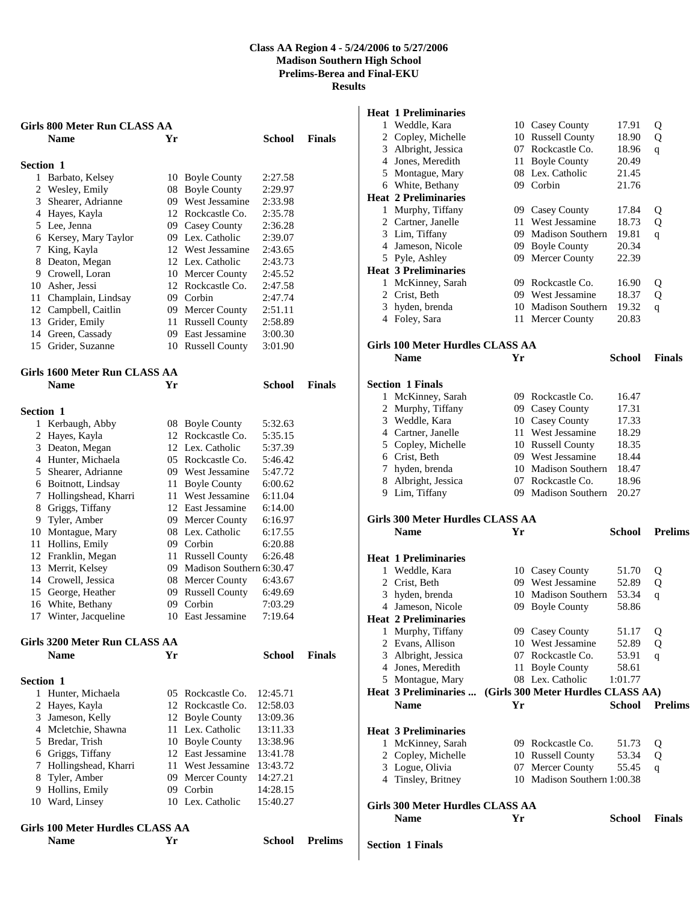|                  | Girls 800 Meter Run CLASS AA<br><b>Name</b> | Yr |                                                  | School        | <b>Finals</b> |
|------------------|---------------------------------------------|----|--------------------------------------------------|---------------|---------------|
|                  |                                             |    |                                                  |               |               |
| <b>Section 1</b> |                                             |    |                                                  |               |               |
|                  | 1 Barbato, Kelsey                           |    | 10 Boyle County                                  | 2:27.58       |               |
| 2                | Wesley, Emily                               |    | 08 Boyle County                                  | 2:29.97       |               |
| 3                | Shearer, Adrianne                           |    | 09 West Jessamine                                | 2:33.98       |               |
|                  | 4 Hayes, Kayla                              |    | 12 Rockcastle Co.                                | 2:35.78       |               |
|                  | 5 Lee, Jenna                                |    | 09 Casey County                                  | 2:36.28       |               |
|                  | 6 Kersey, Mary Taylor                       |    | 09 Lex. Catholic                                 | 2:39.07       |               |
| 7                | King, Kayla                                 |    | 12 West Jessamine                                | 2:43.65       |               |
| 8                | Deaton, Megan                               |    | 12 Lex. Catholic                                 | 2:43.73       |               |
|                  | 9 Crowell, Loran                            |    | 10 Mercer County                                 | 2:45.52       |               |
|                  | 10 Asher, Jessi                             |    | 12 Rockcastle Co.                                | 2:47.58       |               |
| 11               | Champlain, Lindsay                          |    | 09 Corbin                                        | 2:47.74       |               |
| 12               | Campbell, Caitlin                           |    | 09 Mercer County                                 | 2:51.11       |               |
| 13               | Grider, Emily                               |    | 11 Russell County                                | 2:58.89       |               |
|                  | 14 Green, Cassady                           |    | 09 East Jessamine                                | 3:00.30       |               |
|                  | 15 Grider, Suzanne                          |    | 10 Russell County                                | 3:01.90       |               |
|                  |                                             |    |                                                  |               |               |
|                  | Girls 1600 Meter Run CLASS AA               |    |                                                  |               |               |
|                  | <b>Name</b>                                 | Yr |                                                  | School        | <b>Finals</b> |
|                  |                                             |    |                                                  |               |               |
| <b>Section 1</b> |                                             |    |                                                  |               |               |
|                  | 1 Kerbaugh, Abby                            |    | 08 Boyle County                                  | 5:32.63       |               |
| $\overline{c}$   | Hayes, Kayla                                |    | 12 Rockcastle Co.                                | 5:35.15       |               |
| 3                | Deaton, Megan                               |    | 12 Lex. Catholic                                 | 5:37.39       |               |
|                  | 4 Hunter, Michaela                          |    | 05 Rockcastle Co.                                | 5:46.42       |               |
|                  | 5 Shearer, Adrianne                         |    | 09 West Jessamine                                | 5:47.72       |               |
|                  | 6 Boitnott, Lindsay                         |    | 11 Boyle County<br>West Jessamine                | 6:00.62       |               |
| 7                | Hollingshead, Kharri                        | 11 |                                                  | 6:11.04       |               |
| 8                | Griggs, Tiffany                             |    | 12 East Jessamine                                | 6:14.00       |               |
| 9.               | Tyler, Amber                                |    | 09 Mercer County<br>08 Lex. Catholic             | 6:16.97       |               |
| 10<br>11         | Montague, Mary<br>Hollins, Emily            |    | 09 Corbin                                        | 6:17.55       |               |
| 12               |                                             |    |                                                  | 6:20.88       |               |
| 13               | Franklin, Megan<br>Merrit, Kelsey           |    | 11 Russell County<br>09 Madison Southern 6:30.47 | 6:26.48       |               |
|                  | 14 Crowell, Jessica                         |    | 08 Mercer County                                 | 6:43.67       |               |
| 15               | George, Heather                             |    | 09 Russell County                                | 6:49.69       |               |
| 16               | White, Bethany                              | 09 | Corbin                                           | 7:03.29       |               |
| 17               | Winter, Jacqueline                          | 10 | East Jessamine                                   | 7:19.64       |               |
|                  |                                             |    |                                                  |               |               |
|                  | Girls 3200 Meter Run CLASS AA               |    |                                                  |               |               |
|                  | <b>Name</b>                                 | Yr |                                                  | <b>School</b> | <b>Finals</b> |
|                  |                                             |    |                                                  |               |               |
| <b>Section 1</b> |                                             |    |                                                  |               |               |
| 1                | Hunter, Michaela                            | 05 | Rockcastle Co.                                   | 12:45.71      |               |
| 2                | Hayes, Kayla                                |    | 12 Rockcastle Co.                                | 12:58.03      |               |
| 3                | Jameson, Kelly                              |    | 12 Boyle County                                  | 13:09.36      |               |
|                  | 4 Mcletchie, Shawna                         |    | 11 Lex. Catholic                                 | 13:11.33      |               |
| 5                | Bredar, Trish                               |    | 10 Boyle County                                  | 13:38.96      |               |
|                  | 6 Griggs, Tiffany                           |    | 12 East Jessamine                                | 13:41.78      |               |
| 7                | Hollingshead, Kharri                        |    | 11 West Jessamine                                | 13:43.72      |               |
| 8                | Tyler, Amber                                |    | 09 Mercer County                                 | 14:27.21      |               |
| 9                | Hollins, Emily                              |    | 09 Corbin                                        | 14:28.15      |               |
| 10               | Ward, Linsey                                |    | 10 Lex. Catholic                                 | 15:40.27      |               |
|                  |                                             |    |                                                  |               |               |

## **Girls 100 Meter Hurdles CLASS AA Name Yr School Prelims**

# **Heat 1 Preliminaries**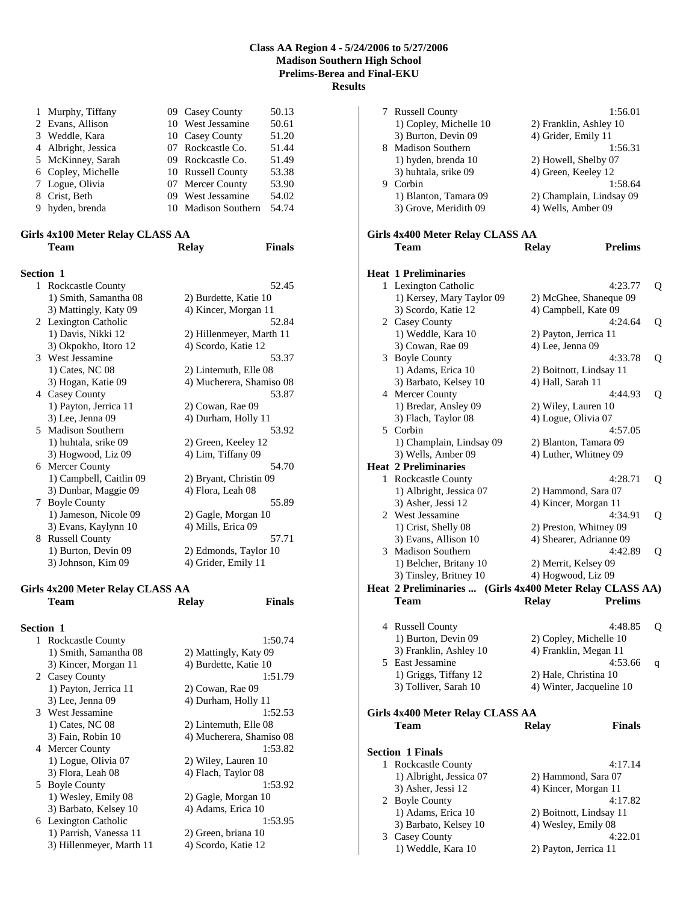| 1 Murphy, Tiffany   | 09 Casey County     | 50.13 |
|---------------------|---------------------|-------|
| 2 Evans, Allison    | 10 West Jessamine   | 50.61 |
| 3 Weddle, Kara      | 10 Casey County     | 51.20 |
| 4 Albright, Jessica | 07 Rockcastle Co.   | 51.44 |
| 5 McKinney, Sarah   | 09 Rockcastle Co.   | 51.49 |
| 6 Copley, Michelle  | 10 Russell County   | 53.38 |
| 7 Logue, Olivia     | 07 Mercer County    | 53.90 |
| 8 Crist, Beth       | 09 West Jessamine   | 54.02 |
| 9 hyden, brenda     | 10 Madison Southern | 54.74 |

## **Girls 4x100 Meter Relay CLASS AA Team Relay Finals**

| <b>Section 1</b>                         |                                                                                               |
|------------------------------------------|-----------------------------------------------------------------------------------------------|
| <b>Rockcastle County</b><br>$\mathbf{1}$ | 52.45                                                                                         |
| 1) Smith, Samantha 08                    | 2) Burdette, Katie 10                                                                         |
| 3) Mattingly, Katy 09                    | 4) Kincer, Morgan 11                                                                          |
|                                          | 52.84                                                                                         |
|                                          | 2) Hillenmeyer, Marth 11                                                                      |
|                                          | 4) Scordo, Katie 12                                                                           |
| 3 West Jessamine                         | 53.37                                                                                         |
| 1) Cates, NC 08                          | 2) Lintemuth, Elle 08                                                                         |
| 3) Hogan, Katie 09                       | 4) Mucherera, Shamiso 08                                                                      |
| 4 Casey County                           | 53.87                                                                                         |
| 1) Payton, Jerrica 11                    | 2) Cowan, Rae 09                                                                              |
| 3) Lee, Jenna 09                         | 4) Durham, Holly 11                                                                           |
| 5 Madison Southern                       | 53.92                                                                                         |
| 1) huhtala, srike 09                     | 2) Green, Keeley 12                                                                           |
| 3) Hogwood, Liz 09                       | 4) Lim, Tiffany 09                                                                            |
| 6 Mercer County                          | 54.70                                                                                         |
|                                          | 2) Bryant, Christin 09                                                                        |
| 3) Dunbar, Maggie 09                     | 4) Flora, Leah 08                                                                             |
| 7 Boyle County                           | 55.89                                                                                         |
| 1) Jameson, Nicole 09                    | 2) Gagle, Morgan 10                                                                           |
| 3) Evans, Kaylynn 10                     | 4) Mills, Erica 09                                                                            |
| 8 Russell County                         | 57.71                                                                                         |
| 1) Burton, Devin 09                      | 2) Edmonds, Taylor 10                                                                         |
| 3) Johnson, Kim 09                       | 4) Grider, Emily 11                                                                           |
|                                          | 2 Lexington Catholic<br>1) Davis, Nikki 12<br>3) Okpokho, Itoro 12<br>1) Campbell, Caitlin 09 |

## **Girls 4x200 Meter Relay CLASS AA Team Relay Finals**

| <b>Rockcastle County</b> | 1:50.74                                                                                                                  |
|--------------------------|--------------------------------------------------------------------------------------------------------------------------|
| 1) Smith, Samantha 08    | 2) Mattingly, Katy 09                                                                                                    |
| 3) Kincer, Morgan 11     | 4) Burdette, Katie 10                                                                                                    |
|                          | 1:51.79                                                                                                                  |
| 1) Payton, Jerrica 11    | 2) Cowan, Rae 09                                                                                                         |
| 3) Lee, Jenna 09         | 4) Durham, Holly 11                                                                                                      |
|                          | 1:52.53                                                                                                                  |
| 1) Cates, NC 08          | 2) Lintemuth, Elle 08                                                                                                    |
| 3) Fain, Robin 10        | 4) Mucherera, Shamiso 08                                                                                                 |
|                          | 1:53.82                                                                                                                  |
| 1) Logue, Olivia 07      | 2) Wiley, Lauren 10                                                                                                      |
| 3) Flora, Leah 08        | 4) Flach, Taylor 08                                                                                                      |
|                          | 1:53.92                                                                                                                  |
| 1) Wesley, Emily 08      | 2) Gagle, Morgan 10                                                                                                      |
| 3) Barbato, Kelsey 10    | 4) Adams, Erica 10                                                                                                       |
|                          | 1:53.95                                                                                                                  |
| 1) Parrish, Vanessa 11   | 2) Green, briana 10                                                                                                      |
| 3) Hillenmeyer, Marth 11 | 4) Scordo, Katie 12                                                                                                      |
|                          | <b>Section 1</b><br>1<br>2 Casey County<br>3 West Jessamine<br>4 Mercer County<br>5 Boyle County<br>6 Lexington Catholic |

| 7 Russell County                                         | 1:56.01                                     |   |
|----------------------------------------------------------|---------------------------------------------|---|
| 1) Copley, Michelle 10                                   | 2) Franklin, Ashley 10                      |   |
| 3) Burton, Devin 09                                      | 4) Grider, Emily 11                         |   |
| 8 Madison Southern                                       | 1:56.31                                     |   |
| 1) hyden, brenda 10                                      | 2) Howell, Shelby 07                        |   |
| 3) huhtala, srike 09                                     | 4) Green, Keeley 12                         |   |
| 9 Corbin                                                 | 1:58.64                                     |   |
| 1) Blanton, Tamara 09                                    | 2) Champlain, Lindsay 09                    |   |
| 3) Grove, Meridith 09                                    | 4) Wells, Amber 09                          |   |
|                                                          |                                             |   |
| Girls 4x400 Meter Relay CLASS AA                         |                                             |   |
| Team                                                     | <b>Prelims</b><br><b>Relay</b>              |   |
|                                                          |                                             |   |
| <b>Heat 1 Preliminaries</b>                              |                                             |   |
| 1 Lexington Catholic                                     | 4:23.77                                     | Q |
|                                                          |                                             |   |
| 1) Kersey, Mary Taylor 09                                | 2) McGhee, Shaneque 09                      |   |
| 3) Scordo, Katie 12                                      | 4) Campbell, Kate 09                        |   |
| 2 Casey County                                           | 4:24.64                                     | Q |
| 1) Weddle, Kara 10                                       | 2) Payton, Jerrica 11                       |   |
| 3) Cowan, Rae 09                                         | 4) Lee, Jenna 09                            |   |
| 3 Boyle County                                           | 4:33.78                                     | Q |
| 1) Adams, Erica 10                                       | 2) Boitnott, Lindsay 11                     |   |
| 3) Barbato, Kelsey 10                                    | 4) Hall, Sarah 11                           |   |
| 4 Mercer County                                          | 4:44.93                                     | Q |
| 1) Bredar, Ansley 09                                     | 2) Wiley, Lauren 10                         |   |
| 3) Flach, Taylor 08                                      | 4) Logue, Olivia 07                         |   |
| 5 Corbin                                                 | 4:57.05                                     |   |
| 1) Champlain, Lindsay 09                                 | 2) Blanton, Tamara 09                       |   |
| 3) Wells, Amber 09                                       | 4) Luther, Whitney 09                       |   |
| <b>Heat 2 Preliminaries</b>                              |                                             |   |
| 1 Rockcastle County                                      | 4:28.71                                     | Q |
| 1) Albright, Jessica 07                                  | 2) Hammond, Sara 07                         |   |
| 3) Asher, Jessi 12                                       | 4) Kincer, Morgan 11                        |   |
| 2 West Jessamine                                         | 4:34.91                                     | Q |
| 1) Crist, Shelly 08                                      | 2) Preston, Whitney 09                      |   |
| 3) Evans, Allison 10                                     | 4) Shearer, Adrianne 09                     |   |
| 3 Madison Southern                                       | 4:42.89                                     | Q |
| 1) Belcher, Britany 10                                   | 2) Merrit, Kelsey 09                        |   |
| 3) Tinsley, Britney 10                                   | 4) Hogwood, Liz 09                          |   |
| Heat 2 Preliminaries  (Girls 4x400 Meter Relay CLASS AA) |                                             |   |
| <b>Team</b>                                              | <b>Prelims</b><br>Relay                     |   |
|                                                          |                                             |   |
| 4 Russell County                                         | 4:48.85                                     | Q |
| 1) Burton, Devin 09                                      | 2) Copley, Michelle 10                      |   |
| 3) Franklin, Ashley 10                                   | 4) Franklin, Megan 11                       |   |
| 5 East Jessamine                                         | 4:53.66                                     | q |
| 1) Griggs, Tiffany 12                                    | 2) Hale, Christina 10                       |   |
| 3) Tolliver, Sarah 10                                    | 4) Winter, Jacqueline 10                    |   |
|                                                          |                                             |   |
| Girls 4x400 Meter Relay CLASS AA                         |                                             |   |
| Team                                                     | Finals<br>Relay                             |   |
|                                                          |                                             |   |
| <b>Section 1 Finals</b>                                  |                                             |   |
| 1 Rockcastle County                                      | 4:17.14                                     |   |
| 1) Albright, Jessica 07                                  |                                             |   |
| 3) Asher, Jessi 12                                       | 2) Hammond, Sara 07<br>4) Kincer, Morgan 11 |   |
|                                                          | 4:17.82                                     |   |
| 2 Boyle County                                           |                                             |   |
| 1) Adams, Erica 10                                       | 2) Boitnott, Lindsay 11                     |   |
| 3) Barbato, Kelsey 10                                    | 4) Wesley, Emily 08                         |   |
| 3 Casey County                                           | 4:22.01                                     |   |
| 1) Weddle, Kara 10                                       | 2) Payton, Jerrica 11                       |   |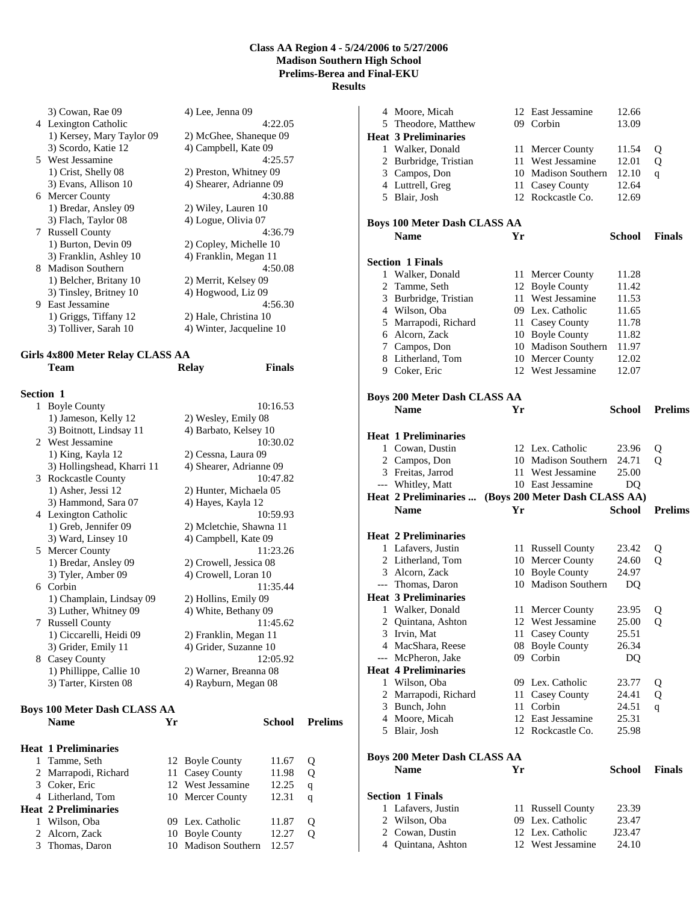3) Cowan, Rae 09 4) Lee, Jenna 09 4 Lexington Catholic 4:22.05 1) Kersey, Mary Taylor 09 2) McGhee, Shaneque 09 3) Scordo, Katie 12 4) Campbell, Kate 09 5 West Jessamine 4:25.57 1) Crist, Shelly 08 2) Preston, Whitney 09 3) Evans, Allison 10 4) Shearer, Adrianne 09 6 Mercer County 4:30.88 1) Bredar, Ansley 09 2) Wiley, Lauren 10<br>3) Flach, Taylor 08 4) Logue, Olivia 07 7 Russell County<br>1) Burton, Devin 09 1) Burton, Devin 09 2) Copley, Michelle 10<br>3) Franklin, Ashley 10 4) Franklin, Megan 11 8 Madison Southern 4:50.08 1) Belcher, Britany 10 2) Merrit, Kelsey 09 3) Tinsley, Britney 10 4) Hogwood, Liz 09 9 East Jessamine 4:56.30 1) Griggs, Tiffany 12 2) Hale, Christina 10 3) Tolliver, Sarah 10 4) Winter, Jacqueline 10

4) Logue, Olivia 07<br>4:36.79

4) Franklin, Megan 11

#### **Girls 4x800 Meter Relay CLASS AA Team Relay Finals**

| Section 1 |                                     |    |                         |                |
|-----------|-------------------------------------|----|-------------------------|----------------|
|           | 1 Boyle County                      |    | 10:16.53                |                |
|           | 1) Jameson, Kelly 12                |    | 2) Wesley, Emily 08     |                |
|           | 3) Boitnott, Lindsay 11             |    | 4) Barbato, Kelsey 10   |                |
|           | 2 West Jessamine                    |    | 10:30.02                |                |
|           | 1) King, Kayla 12                   |    | 2) Cessna, Laura 09     |                |
|           | 3) Hollingshead, Kharri 11          |    | 4) Shearer, Adrianne 09 |                |
|           | 3 Rockcastle County                 |    | 10:47.82                |                |
|           | 1) Asher, Jessi 12                  |    | 2) Hunter, Michaela 05  |                |
|           | 3) Hammond, Sara 07                 |    | 4) Hayes, Kayla 12      |                |
|           | 4 Lexington Catholic                |    | 10:59.93                |                |
|           | 1) Greb, Jennifer 09                |    | 2) Mcletchie, Shawna 11 |                |
|           | 3) Ward, Linsey 10                  |    | 4) Campbell, Kate 09    |                |
|           | 5 Mercer County                     |    | 11:23.26                |                |
|           | 1) Bredar, Ansley 09                |    | 2) Crowell, Jessica 08  |                |
|           | 3) Tyler, Amber 09                  |    | 4) Crowell, Loran 10    |                |
|           | 6 Corbin                            |    | 11:35.44                |                |
|           | 1) Champlain, Lindsay 09            |    | 2) Hollins, Emily 09    |                |
|           | 3) Luther, Whitney 09               |    | 4) White, Bethany 09    |                |
|           | 7 Russell County                    |    | 11:45.62                |                |
|           | 1) Ciccarelli, Heidi 09             |    | 2) Franklin, Megan 11   |                |
|           | 3) Grider, Emily 11                 |    | 4) Grider, Suzanne 10   |                |
|           | 8 Casey County                      |    | 12:05.92                |                |
|           | 1) Phillippe, Callie 10             |    | 2) Warner, Breanna 08   |                |
|           | 3) Tarter, Kirsten 08               |    | 4) Rayburn, Megan 08    |                |
|           | <b>Boys 100 Meter Dash CLASS AA</b> |    |                         |                |
|           | <b>Name</b>                         | Yr | School                  | <b>Prelims</b> |
|           | <b>Heat 1 Preliminaries</b>         |    |                         |                |
|           |                                     |    |                         |                |

| 1 Tamme, Seth               | 12 Boyle County     | 11.67 | Ő |
|-----------------------------|---------------------|-------|---|
| 2 Marrapodi, Richard        | 11 Casey County     | 11.98 | Ő |
| 3 Coker, Eric               | 12 West Jessamine   | 12.25 | q |
| 4 Litherland, Tom           | 10 Mercer County    | 12.31 | q |
|                             |                     |       |   |
| <b>Heat 2 Preliminaries</b> |                     |       |   |
| 1 Wilson, Oba               | 09 Lex. Catholic    | 11.87 | Ő |
| 2 Alcorn, Zack              | 10 Boyle County     | 12.27 |   |
| 3 Thomas, Daron             | 10 Madison Southern | 12.57 |   |

|              | 4 Moore, Micah                        |     | 12 East Jessamine                     | 12.66           |                     |
|--------------|---------------------------------------|-----|---------------------------------------|-----------------|---------------------|
|              | 5 Theodore, Matthew                   |     | 09 Corbin                             | 13.09           |                     |
|              | <b>Heat 3 Preliminaries</b>           |     |                                       |                 |                     |
|              | 1 Walker, Donald                      |     | 11 Mercer County                      | 11.54           | Q                   |
|              | 2 Burbridge, Tristian                 | 11  | West Jessamine                        | 12.01           | Q                   |
|              | 3 Campos, Don                         |     | 10 Madison Southern                   | 12.10           | q                   |
|              | 4 Luttrell, Greg                      |     | 11 Casey County                       | 12.64           |                     |
|              | 5 Blair, Josh                         |     | 12 Rockcastle Co.                     | 12.69           |                     |
|              |                                       |     |                                       |                 |                     |
|              |                                       |     |                                       |                 |                     |
|              | <b>Boys 100 Meter Dash CLASS AA</b>   |     |                                       |                 |                     |
|              | <b>Name</b>                           | Yr  |                                       | School          | <b>Finals</b>       |
|              |                                       |     |                                       |                 |                     |
|              | <b>Section 1 Finals</b>               |     |                                       |                 |                     |
|              | 1 Walker, Donald                      |     | 11 Mercer County                      | 11.28           |                     |
|              | 2 Tamme, Seth                         |     | 12 Boyle County                       | 11.42           |                     |
|              | 3 Burbridge, Tristian                 |     | 11 West Jessamine                     | 11.53           |                     |
|              | 4 Wilson, Oba                         |     | 09 Lex. Catholic                      | 11.65           |                     |
|              | 5 Marrapodi, Richard                  |     | 11 Casey County                       | 11.78           |                     |
|              | 6 Alcorn, Zack                        |     | 10 Boyle County                       | 11.82           |                     |
|              | 7 Campos, Don                         |     | 10 Madison Southern                   | 11.97           |                     |
|              | 8 Litherland, Tom                     |     | 10 Mercer County                      | 12.02           |                     |
|              | 9 Coker, Eric                         |     | 12 West Jessamine                     | 12.07           |                     |
|              |                                       |     |                                       |                 |                     |
|              | <b>Boys 200 Meter Dash CLASS AA</b>   |     |                                       |                 |                     |
|              | <b>Name</b>                           | Yr  |                                       | <b>School</b>   | <b>Prelims</b>      |
|              |                                       |     |                                       |                 |                     |
|              | <b>Heat 1 Preliminaries</b>           |     |                                       |                 |                     |
|              | 1 Cowan, Dustin                       |     | 12 Lex. Catholic                      | 23.96           |                     |
|              |                                       |     | 10 Madison Southern                   | 24.71           | Q<br>$\overline{O}$ |
|              | 2 Campos, Don<br>3 Freitas, Jarrod    |     | 11 West Jessamine                     | 25.00           |                     |
|              |                                       |     | 10 East Jessamine                     |                 |                     |
|              |                                       |     |                                       |                 |                     |
|              | --- Whitley, Matt                     |     |                                       | DQ              |                     |
|              | <b>Heat 2 Preliminaries </b>          |     | (Boys 200 Meter Dash CLASS AA)        |                 |                     |
|              | <b>Name</b>                           | Yr  |                                       | School          | <b>Prelims</b>      |
|              |                                       |     |                                       |                 |                     |
|              | <b>Heat 2 Preliminaries</b>           |     |                                       |                 |                     |
|              | 1 Lafavers, Justin                    |     | 11 Russell County                     | 23.42           | Q                   |
|              | 2 Litherland, Tom                     |     | 10 Mercer County                      | 24.60           | Q                   |
|              | 3 Alcorn, Zack                        |     | 10 Boyle County                       | 24.97           |                     |
|              | --- Thomas, Daron                     |     | 10 Madison Southern                   | DQ              |                     |
|              | <b>Heat 3 Preliminaries</b>           |     |                                       |                 |                     |
| $\mathbf{1}$ | Walker, Donald                        |     | 11 Mercer County                      | 23.95           | Q                   |
|              | 2 Quintana, Ashton                    | 12  | West Jessamine                        | 25.00           | Q                   |
|              | 3 Irvin, Mat                          | 11  | Casey County                          | 25.51           |                     |
|              | 4 MacShara, Reese                     | 08  | <b>Boyle County</b>                   | 26.34           |                     |
|              | --- McPheron, Jake                    |     | 09 Corbin                             | DQ              |                     |
|              | <b>Heat 4 Preliminaries</b>           |     |                                       |                 |                     |
|              | 1 Wilson, Oba                         |     | 09 Lex. Catholic                      | 23.77           | Q                   |
|              |                                       | 11  | Casey County                          | 24.41           |                     |
|              | 2 Marrapodi, Richard<br>3 Bunch, John | 11  | Corbin                                | 24.51           | Q                   |
|              |                                       |     | 12 East Jessamine                     |                 | q                   |
|              | 4 Moore, Micah<br>5 Blair, Josh       |     | 12 Rockcastle Co.                     | 25.31<br>25.98  |                     |
|              |                                       |     |                                       |                 |                     |
|              |                                       |     |                                       |                 |                     |
|              | <b>Boys 200 Meter Dash CLASS AA</b>   |     |                                       |                 |                     |
|              | Name                                  | Yr  |                                       | <b>School</b>   | <b>Finals</b>       |
|              |                                       |     |                                       |                 |                     |
|              | <b>Section 1 Finals</b>               |     |                                       |                 |                     |
|              | 1 Lafavers, Justin                    | 11  | <b>Russell County</b>                 | 23.39           |                     |
|              | 2 Wilson, Oba                         | 09. | Lex. Catholic                         | 23.47           |                     |
|              | 2 Cowan, Dustin<br>4 Quintana, Ashton |     | 12 Lex. Catholic<br>12 West Jessamine | J23.47<br>24.10 |                     |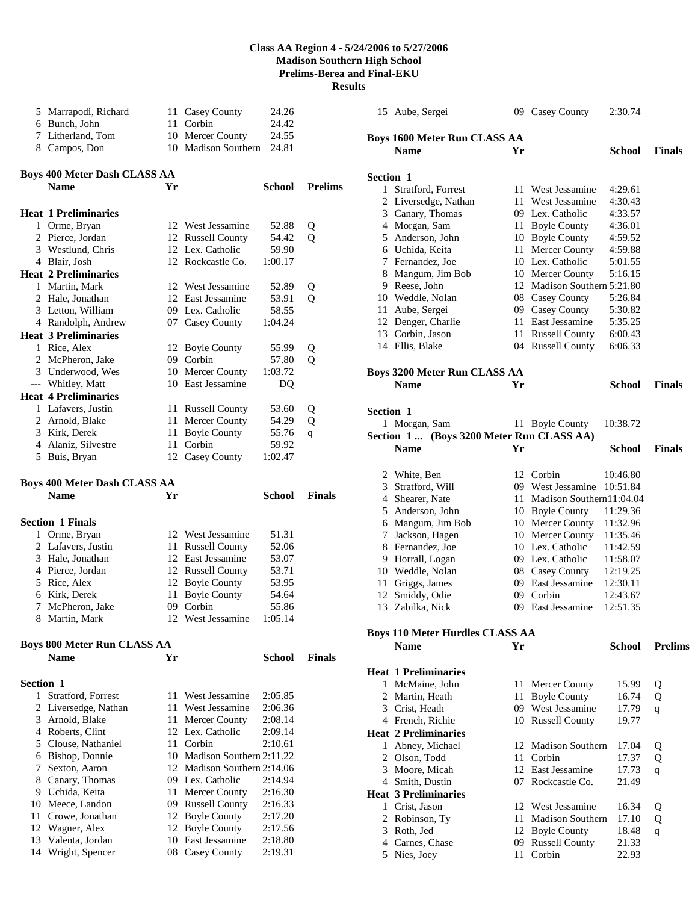|           | 5 Marrapodi, Richard                |    | 11 Casey County               | 24.26              |                |                  | 15 Aube, Sergei                           |    | 09 Casey County                      | 2:30.74       |                |
|-----------|-------------------------------------|----|-------------------------------|--------------------|----------------|------------------|-------------------------------------------|----|--------------------------------------|---------------|----------------|
|           | 6 Bunch, John                       |    | 11 Corbin                     | 24.42              |                |                  |                                           |    |                                      |               |                |
|           | 7 Litherland, Tom                   |    | 10 Mercer County              | 24.55              |                |                  | <b>Boys 1600 Meter Run CLASS AA</b>       |    |                                      |               |                |
|           | 8 Campos, Don                       |    | 10 Madison Southern           | 24.81              |                |                  | <b>Name</b>                               | Yr |                                      | <b>School</b> | <b>Finals</b>  |
|           | <b>Boys 400 Meter Dash CLASS AA</b> |    |                               |                    |                | <b>Section 1</b> |                                           |    |                                      |               |                |
|           | Name                                | Yr |                               | School             | <b>Prelims</b> |                  | 1 Stratford, Forrest                      |    | 11 West Jessamine                    | 4:29.61       |                |
|           |                                     |    |                               |                    |                |                  | 2 Liversedge, Nathan                      |    | 11 West Jessamine                    | 4:30.43       |                |
|           | <b>Heat 1 Preliminaries</b>         |    |                               |                    |                |                  | 3 Canary, Thomas                          |    | 09 Lex. Catholic                     | 4:33.57       |                |
|           | 1 Orme, Bryan                       |    | 12 West Jessamine             | 52.88              | Q              |                  | 4 Morgan, Sam                             | 11 | <b>Boyle County</b>                  | 4:36.01       |                |
|           | 2 Pierce, Jordan                    |    | 12 Russell County             | 54.42              | Q              |                  | 5 Anderson, John                          |    | 10 Boyle County                      | 4:59.52       |                |
|           | 3 Westlund, Chris                   |    | 12 Lex. Catholic              | 59.90              |                | 6                | Uchida, Keita                             |    | 11 Mercer County                     | 4:59.88       |                |
|           | 4 Blair, Josh                       |    | 12 Rockcastle Co.             | 1:00.17            |                |                  | 7 Fernandez, Joe                          |    | 10 Lex. Catholic                     | 5:01.55       |                |
|           | <b>Heat 2 Preliminaries</b>         |    |                               |                    |                | 8                | Mangum, Jim Bob                           |    | 10 Mercer County                     | 5:16.15       |                |
|           | 1 Martin, Mark                      |    | 12 West Jessamine             | 52.89              | Q              |                  | 9 Reese, John                             |    | 12 Madison Southern 5:21.80          |               |                |
|           | 2 Hale, Jonathan                    |    | 12 East Jessamine             | 53.91              | $\mathbf Q$    |                  | 10 Weddle, Nolan                          |    | 08 Casey County                      | 5:26.84       |                |
|           | 3 Letton, William                   |    | 09 Lex. Catholic              | 58.55              |                | 11               | Aube, Sergei                              | 09 | Casey County                         | 5:30.82       |                |
|           | 4 Randolph, Andrew                  |    | 07 Casey County               | 1:04.24            |                | 12               | Denger, Charlie                           | 11 | East Jessamine                       | 5:35.25       |                |
|           | <b>Heat 3 Preliminaries</b>         |    |                               |                    |                |                  | 13 Corbin, Jason                          |    | 11 Russell County                    | 6:00.43       |                |
|           | 1 Rice, Alex                        |    | 12 Boyle County               | 55.99              | Q              |                  | 14 Ellis, Blake                           |    | 04 Russell County                    | 6:06.33       |                |
|           | 2 McPheron, Jake                    |    | 09 Corbin                     | 57.80              | Q              |                  |                                           |    |                                      |               |                |
|           | 3 Underwood, Wes                    |    | 10 Mercer County              | 1:03.72            |                |                  | <b>Boys 3200 Meter Run CLASS AA</b>       |    |                                      |               |                |
|           | --- Whitley, Matt                   |    | 10 East Jessamine             | DQ                 |                |                  |                                           |    |                                      |               |                |
|           | <b>Heat 4 Preliminaries</b>         |    |                               |                    |                |                  | <b>Name</b>                               | Yr |                                      | <b>School</b> | <b>Finals</b>  |
|           |                                     |    |                               |                    |                |                  |                                           |    |                                      |               |                |
|           | 1 Lafavers, Justin                  |    | 11 Russell County             | 53.60              | Q              | Section 1        |                                           |    |                                      |               |                |
|           | 2 Arnold, Blake                     | 11 | Mercer County                 | 54.29              | Q              |                  | 1 Morgan, Sam                             |    | 11 Boyle County                      | 10:38.72      |                |
|           | 3 Kirk, Derek                       | 11 | <b>Boyle County</b><br>Corbin | 55.76              | q              |                  | Section 1  (Boys 3200 Meter Run CLASS AA) |    |                                      |               |                |
|           | 4 Alaniz, Silvestre                 | 11 |                               | 59.92              |                |                  | Name                                      | Yr |                                      | <b>School</b> | <b>Finals</b>  |
|           | 5 Buis, Bryan                       |    | 12 Casey County               | 1:02.47            |                |                  |                                           |    |                                      |               |                |
|           |                                     |    |                               |                    |                |                  | 2 White, Ben                              |    | 12 Corbin                            | 10:46.80      |                |
|           | <b>Boys 400 Meter Dash CLASS AA</b> |    |                               |                    |                | 3                | Stratford, Will                           | 09 | West Jessamine 10:51.84              |               |                |
|           | <b>Name</b>                         | Yr |                               | <b>School</b>      | <b>Finals</b>  | 4                | Shearer, Nate                             |    | 11 Madison Southern11:04.04          |               |                |
|           |                                     |    |                               |                    |                |                  | 5 Anderson, John                          |    | 10 Boyle County                      | 11:29.36      |                |
|           | <b>Section 1 Finals</b>             |    |                               |                    |                | 6                | Mangum, Jim Bob                           |    | 10 Mercer County                     | 11:32.96      |                |
|           | 1 Orme, Bryan                       |    | 12 West Jessamine             | 51.31              |                | 7                | Jackson, Hagen                            |    | 10 Mercer County                     | 11:35.46      |                |
|           | 2 Lafavers, Justin                  |    | 11 Russell County             | 52.06              |                | 8                | Fernandez, Joe                            |    | 10 Lex. Catholic                     | 11:42.59      |                |
|           | 3 Hale, Jonathan                    |    | 12 East Jessamine             | 53.07              |                |                  | 9 Horrall, Logan                          |    | 09 Lex. Catholic                     | 11:58.07      |                |
|           | 4 Pierce, Jordan                    |    | 12 Russell County             | 53.71              |                |                  | 10 Weddle, Nolan                          |    | 08 Casey County                      | 12:19.25      |                |
|           | 5 Rice, Alex                        |    | 12 Boyle County               | 53.95              |                | 11               | Griggs, James                             | 09 | East Jessamine                       | 12:30.11      |                |
|           | 6 Kirk, Derek                       |    | 11 Boyle County               | 54.64              |                | 12               | Smiddy, Odie                              | 09 | Corbin                               | 12:43.67      |                |
|           | 7 McPheron, Jake                    |    | 09 Corbin                     | 55.86              |                |                  | 13 Zabilka, Nick                          |    | 09 East Jessamine                    | 12:51.35      |                |
| 8         | Martin, Mark                        | 12 | West Jessamine                | 1:05.14            |                |                  |                                           |    |                                      |               |                |
|           |                                     |    |                               |                    |                |                  | <b>Boys 110 Meter Hurdles CLASS AA</b>    |    |                                      |               |                |
|           | <b>Boys 800 Meter Run CLASS AA</b>  |    |                               |                    |                |                  | <b>Name</b>                               | Yr |                                      | <b>School</b> | <b>Prelims</b> |
|           | <b>Name</b>                         | Yr |                               | School             | <b>Finals</b>  |                  |                                           |    |                                      |               |                |
|           |                                     |    |                               |                    |                |                  | <b>Heat 1 Preliminaries</b>               |    |                                      |               |                |
| Section 1 |                                     |    |                               |                    |                |                  |                                           |    | 11 Mercer County                     |               |                |
|           | 1 Stratford, Forrest                |    | 11 West Jessamine             | 2:05.85            |                |                  | 1 McMaine, John<br>2 Martin, Heath        |    |                                      | 15.99         | Q              |
|           | 2 Liversedge, Nathan                | 11 | West Jessamine                | 2:06.36            |                |                  |                                           |    | 11 Boyle County<br>09 West Jessamine | 16.74         | Q              |
|           |                                     |    |                               |                    |                | 3                | Crist, Heath                              |    |                                      | 17.79         | q              |
|           | 3 Arnold, Blake<br>4 Roberts, Clint | 11 | Mercer County                 | 2:08.14            |                |                  | 4 French, Richie                          |    | 10 Russell County                    | 19.77         |                |
|           |                                     | 12 | Lex. Catholic<br>Corbin       | 2:09.14<br>2:10.61 |                |                  | <b>Heat 2 Preliminaries</b>               |    |                                      |               |                |
|           | 5 Clouse, Nathaniel                 | 11 |                               |                    |                |                  | 1 Abney, Michael                          |    | 12 Madison Southern                  | 17.04         | Q              |
|           | 6 Bishop, Donnie                    | 10 | Madison Southern 2:11.22      |                    |                |                  | 2 Olson, Todd                             |    | 11 Corbin                            | 17.37         | Q              |
|           | 7 Sexton, Aaron                     |    | 12 Madison Southern 2:14.06   |                    |                | 3                | Moore, Micah                              | 12 | East Jessamine                       | 17.73         | q              |
|           | 8 Canary, Thomas                    | 09 | Lex. Catholic                 | 2:14.94            |                |                  | 4 Smith, Dustin                           |    | 07 Rockcastle Co.                    | 21.49         |                |
|           | 9 Uchida, Keita                     | 11 | Mercer County                 | 2:16.30            |                |                  | <b>Heat 3 Preliminaries</b>               |    |                                      |               |                |
|           | 10 Meece, Landon                    | 09 | <b>Russell County</b>         | 2:16.33            |                |                  | 1 Crist, Jason                            |    | 12 West Jessamine                    | 16.34         | Q              |
|           | 11 Crowe, Jonathan                  |    | 12 Boyle County               | 2:17.20            |                |                  | 2 Robinson, Ty                            |    | 11 Madison Southern                  | 17.10         | Q              |
|           | 12 Wagner, Alex                     | 12 | <b>Boyle County</b>           | 2:17.56            |                | 3                | Roth, Jed                                 | 12 | <b>Boyle County</b>                  | 18.48         | q              |
|           | 13 Valenta, Jordan                  | 10 | East Jessamine                | 2:18.80            |                | 4                | Carnes, Chase                             | 09 | <b>Russell County</b>                | 21.33         |                |
|           | 14 Wright, Spencer                  |    | 08 Casey County               | 2:19.31            |                |                  | 5 Nies, Joey                              |    | 11 Corbin                            | 22.93         |                |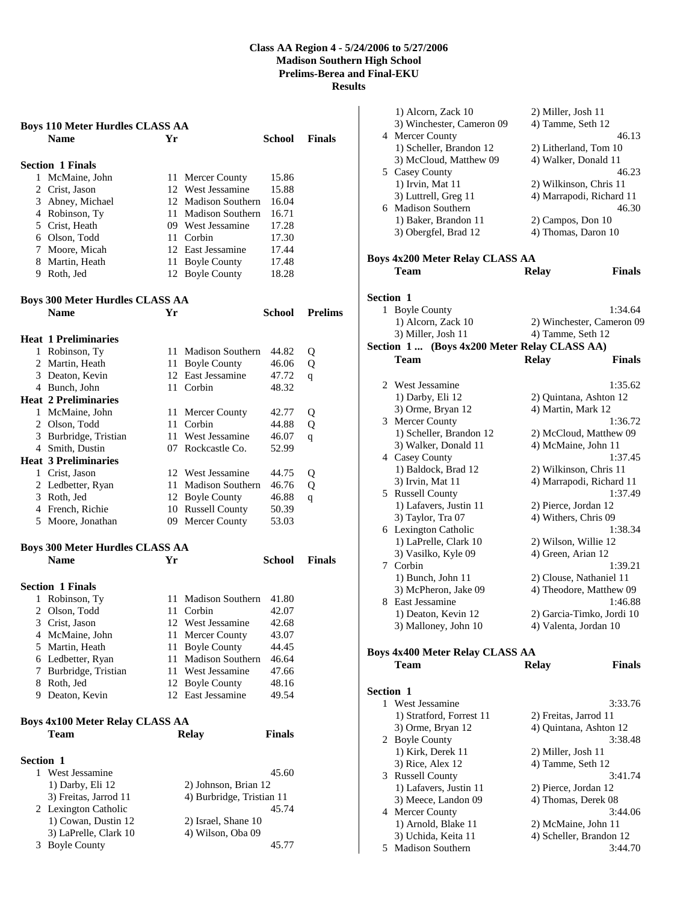|                                        | <b>Boys 110 Meter Hurdles CLASS AA</b>                |      |                                    |               |                |
|----------------------------------------|-------------------------------------------------------|------|------------------------------------|---------------|----------------|
|                                        | <b>Name</b>                                           | Yr   |                                    | School        | <b>Finals</b>  |
|                                        |                                                       |      |                                    |               |                |
|                                        | <b>Section 1 Finals</b><br>1 McMaine, John            |      |                                    | 15.86         |                |
|                                        | 2 Crist, Jason                                        | 11   | Mercer County<br>12 West Jessamine | 15.88         |                |
|                                        | 3 Abney, Michael                                      |      | 12 Madison Southern                | 16.04         |                |
|                                        | 4 Robinson, Ty                                        |      | 11 Madison Southern                | 16.71         |                |
|                                        | 5 Crist, Heath                                        |      | 09 West Jessamine                  | 17.28         |                |
|                                        | 6 Olson, Todd                                         |      | 11 Corbin                          | 17.30         |                |
|                                        | 7 Moore, Micah                                        |      | 12 East Jessamine                  | 17.44         |                |
|                                        | 8 Martin, Heath                                       |      | 11 Boyle County                    | 17.48         |                |
|                                        | 9 Roth, Jed                                           |      | 12 Boyle County                    | 18.28         |                |
|                                        |                                                       |      |                                    |               |                |
|                                        | <b>Boys 300 Meter Hurdles CLASS AA</b><br><b>Name</b> | Yr   |                                    | School        | <b>Prelims</b> |
|                                        |                                                       |      |                                    |               |                |
|                                        | <b>Heat 1 Preliminaries</b>                           |      |                                    |               |                |
|                                        | 1 Robinson, Ty                                        |      | 11 Madison Southern                | 44.82         | Q              |
|                                        | 2 Martin, Heath                                       |      | 11 Boyle County                    | 46.06         | Q              |
|                                        | 3 Deaton, Kevin                                       |      | 12 East Jessamine                  | 47.72         | q              |
|                                        | 4 Bunch, John                                         |      | 11 Corbin                          | 48.32         |                |
|                                        | <b>Heat 2 Preliminaries</b>                           |      |                                    |               |                |
|                                        | 1 McMaine, John                                       |      | 11 Mercer County                   | 42.77         | Q              |
|                                        | 2 Olson, Todd                                         |      | 11 Corbin                          | 44.88         | Q              |
|                                        | 3 Burbridge, Tristian                                 |      | 11 West Jessamine                  | 46.07         | $\mathsf{q}$   |
|                                        | 4 Smith, Dustin                                       |      | 07 Rockcastle Co.                  | 52.99         |                |
|                                        | <b>Heat 3 Preliminaries</b>                           |      |                                    |               |                |
|                                        | 1 Crist, Jason                                        |      | 12 West Jessamine                  | 44.75         | Q              |
|                                        | 2 Ledbetter, Ryan                                     | 11 - | <b>Madison Southern</b>            | 46.76         | Q              |
|                                        | 3 Roth, Jed                                           |      | 12 Boyle County                    | 46.88         | q              |
|                                        | 4 French, Richie                                      |      | 10 Russell County                  | 50.39         |                |
|                                        | 5 Moore, Jonathan                                     |      | 09 Mercer County                   | 53.03         |                |
|                                        | <b>Boys 300 Meter Hurdles CLASS AA</b>                |      |                                    |               |                |
|                                        | <b>Name</b>                                           | Yr   |                                    | School        | <b>Finals</b>  |
|                                        |                                                       |      |                                    |               |                |
|                                        | <b>Section 1 Finals</b>                               |      |                                    |               |                |
| 1                                      | Robinson, Ty                                          | 11   | <b>Madison Southern</b>            | 41.80         |                |
|                                        | 2 Olson, Todd                                         |      | 11 Corbin                          | 42.07         |                |
|                                        | 3 Crist, Jason                                        |      | 12 West Jessamine                  | 42.68         |                |
|                                        | 4 McMaine, John                                       | 11.  | Mercer County                      | 43.07         |                |
|                                        | 5 Martin, Heath                                       | 11   | <b>Boyle County</b>                | 44.45         |                |
|                                        | 6 Ledbetter, Ryan                                     | 11   | Madison Southern                   | 46.64         |                |
|                                        | 7 Burbridge, Tristian                                 | 11-  | West Jessamine                     | 47.66         |                |
|                                        | 8 Roth, Jed                                           |      | 12 Boyle County                    | 48.16         |                |
|                                        | 9 Deaton, Kevin                                       |      | 12 East Jessamine                  | 49.54         |                |
| <b>Boys 4x100 Meter Relay CLASS AA</b> |                                                       |      |                                    |               |                |
|                                        | Team                                                  |      | <b>Relay</b>                       | <b>Finals</b> |                |
|                                        |                                                       |      |                                    |               |                |
| Section 1                              | 1 West Jessamine                                      |      |                                    | 45.60         |                |
|                                        | 1) Darby, Eli 12                                      |      | 2) Johnson, Brian 12               |               |                |
|                                        | 3) Freitas, Jarrod 11                                 |      | 4) Burbridge, Tristian 11          |               |                |
|                                        | 2 Lexington Catholic                                  |      |                                    | 45.74         |                |
|                                        | 1) Cowan, Dustin 12                                   |      | 2) Israel, Shane 10                |               |                |
|                                        | 3) LaPrelle, Clark 10                                 |      | 4) Wilson, Oba 09                  |               |                |
|                                        | 3 Boyle County                                        |      |                                    | 45.77         |                |

|                  | 1) Alcorn, Zack 10                           | 2) Miller, Josh 11        |               |
|------------------|----------------------------------------------|---------------------------|---------------|
|                  | 3) Winchester, Cameron 09                    | 4) Tamme, Seth 12         |               |
|                  | 4 Mercer County                              |                           | 46.13         |
|                  | 1) Scheller, Brandon 12                      | 2) Litherland, Tom 10     |               |
|                  | 3) McCloud, Matthew 09                       | 4) Walker, Donald 11      |               |
|                  | 5 Casey County                               |                           | 46.23         |
|                  | 1) Irvin, Mat 11                             | 2) Wilkinson, Chris 11    |               |
|                  | 3) Luttrell, Greg 11                         | 4) Marrapodi, Richard 11  |               |
|                  | 6 Madison Southern                           |                           | 46.30         |
|                  | 1) Baker, Brandon 11                         | 2) Campos, Don 10         |               |
|                  |                                              | 4) Thomas, Daron 10       |               |
|                  | 3) Obergfel, Brad 12                         |                           |               |
|                  |                                              |                           |               |
|                  | <b>Boys 4x200 Meter Relay CLASS AA</b>       |                           |               |
|                  | Team                                         | <b>Relay</b>              | <b>Finals</b> |
|                  |                                              |                           |               |
| <b>Section 1</b> |                                              |                           |               |
|                  | 1 Boyle County                               |                           | 1:34.64       |
|                  | 1) Alcorn, Zack 10                           | 2) Winchester, Cameron 09 |               |
|                  | 3) Miller, Josh 11                           | 4) Tamme, Seth 12         |               |
|                  | Section 1  (Boys 4x200 Meter Relay CLASS AA) |                           |               |
|                  | Team                                         | <b>Relay</b>              | <b>Finals</b> |
|                  |                                              |                           |               |
|                  | 2 West Jessamine                             |                           | 1:35.62       |
|                  | 1) Darby, Eli 12                             | 2) Ouintana, Ashton 12    |               |
|                  | 3) Orme, Bryan 12                            | 4) Martin, Mark 12        |               |
|                  | 3 Mercer County                              |                           | 1:36.72       |
|                  | 1) Scheller, Brandon 12                      | 2) McCloud, Matthew 09    |               |
|                  |                                              |                           |               |
|                  | 3) Walker, Donald 11                         | 4) McMaine, John 11       |               |
|                  | 4 Casey County                               |                           | 1:37.45       |
|                  | 1) Baldock, Brad 12                          | 2) Wilkinson, Chris 11    |               |
|                  | 3) Irvin, Mat 11                             | 4) Marrapodi, Richard 11  |               |
|                  | 5 Russell County                             |                           | 1:37.49       |
|                  | 1) Lafavers, Justin 11                       | 2) Pierce, Jordan 12      |               |
|                  | 3) Taylor, Tra 07                            | 4) Withers, Chris 09      |               |
|                  | 6 Lexington Catholic                         |                           | 1:38.34       |
|                  | 1) LaPrelle, Clark 10                        | 2) Wilson, Willie 12      |               |
|                  | 3) Vasilko, Kyle 09                          | 4) Green, Arian 12        |               |
|                  | 7 Corbin                                     |                           | 1:39.21       |
|                  | 1) Bunch, John 11                            | 2) Clouse, Nathaniel 11   |               |
|                  | 3) McPheron, Jake 09                         | 4) Theodore, Matthew 09   |               |
|                  | 8 East Jessamine                             |                           | 1:46.88       |
|                  | 1) Deaton, Kevin 12                          | 2) Garcia-Timko, Jordi 10 |               |
|                  | 3) Malloney, John 10                         | 4) Valenta, Jordan 10     |               |
|                  |                                              |                           |               |
|                  | <b>Boys 4x400 Meter Relay CLASS AA</b>       |                           |               |
|                  | Team                                         | <b>Relay</b>              | <b>Finals</b> |
|                  |                                              |                           |               |
| <b>Section 1</b> |                                              |                           |               |
|                  | 1 West Jessamine                             |                           | 3:33.76       |
|                  | 1) Stratford, Forrest 11                     | 2) Freitas, Jarrod 11     |               |
|                  | 3) Orme, Bryan 12                            | 4) Quintana, Ashton 12    |               |
|                  | 2 Boyle County                               |                           | 3:38.48       |
|                  | 1) Kirk, Derek 11                            | 2) Miller, Josh 11        |               |
|                  | 3) Rice, Alex 12                             | 4) Tamme, Seth 12         |               |
|                  | 3 Russell County                             |                           | 3:41.74       |
|                  | 1) Lafavers, Justin 11                       | 2) Pierce, Jordan 12      |               |
|                  | 3) Meece, Landon 09                          | 4) Thomas, Derek 08       |               |
|                  | 4 Mercer County                              |                           | 3:44.06       |
|                  | 1) Arnold, Blake 11                          | 2) McMaine, John 11       |               |
|                  | 3) Uchida, Keita 11                          | 4) Scheller, Brandon 12   |               |
|                  | 5 Madison Southern                           |                           | 3:44.70       |
|                  |                                              |                           |               |